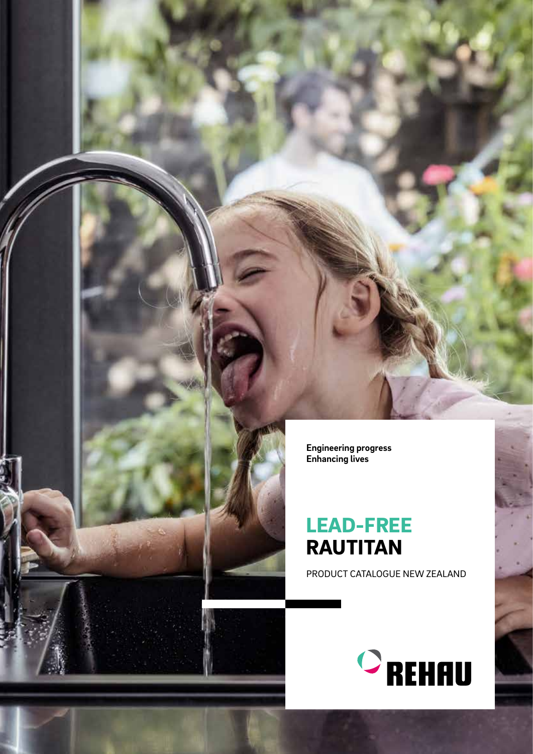**Engineering progress Enhancing lives**

# LEAD-FREE RAUTITAN

PRODUCT CATALOGUE NEW ZEALAND



b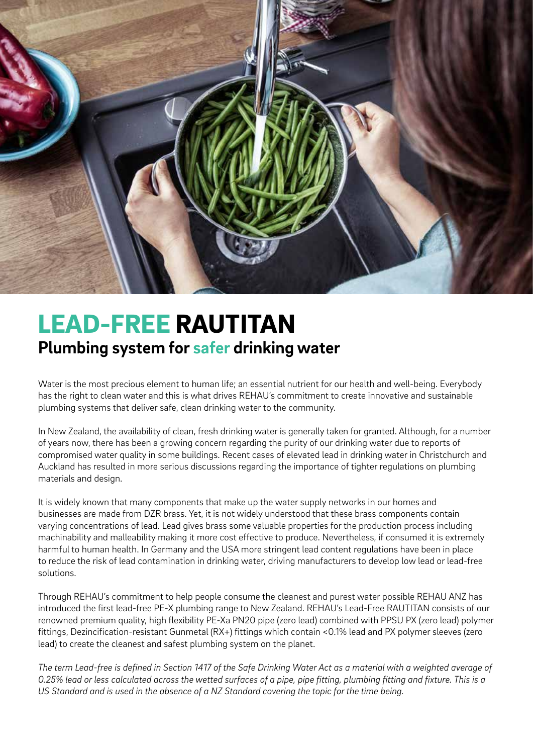

# LEAD-FREE RAUTITAN **Plumbing system for safer drinking water**

Water is the most precious element to human life; an essential nutrient for our health and well-being. Everybody has the right to clean water and this is what drives REHAU's commitment to create innovative and sustainable plumbing systems that deliver safe, clean drinking water to the community.

In New Zealand, the availability of clean, fresh drinking water is generally taken for granted. Although, for a number of years now, there has been a growing concern regarding the purity of our drinking water due to reports of compromised water quality in some buildings. Recent cases of elevated lead in drinking water in Christchurch and Auckland has resulted in more serious discussions regarding the importance of tighter regulations on plumbing materials and design.

It is widely known that many components that make up the water supply networks in our homes and businesses are made from DZR brass. Yet, it is not widely understood that these brass components contain varying concentrations of lead. Lead gives brass some valuable properties for the production process including machinability and malleability making it more cost effective to produce. Nevertheless, if consumed it is extremely harmful to human health. In Germany and the USA more stringent lead content regulations have been in place to reduce the risk of lead contamination in drinking water, driving manufacturers to develop low lead or lead-free solutions.

Through REHAU's commitment to help people consume the cleanest and purest water possible REHAU ANZ has introduced the first lead-free PE-X plumbing range to New Zealand. REHAU's Lead-Free RAUTITAN consists of our renowned premium quality, high flexibility PE-Xa PN20 pipe (zero lead) combined with PPSU PX (zero lead) polymer fittings, Dezincification-resistant Gunmetal (RX+) fittings which contain <0.1% lead and PX polymer sleeves (zero lead) to create the cleanest and safest plumbing system on the planet.

*The term Lead-free is defined in Section 1417 of the Safe Drinking Water Act as a material with a weighted average of 0.25% lead or less calculated across the wetted surfaces of a pipe, pipe fitting, plumbing fitting and fixture. This is a US Standard and is used in the absence of a NZ Standard covering the topic for the time being.*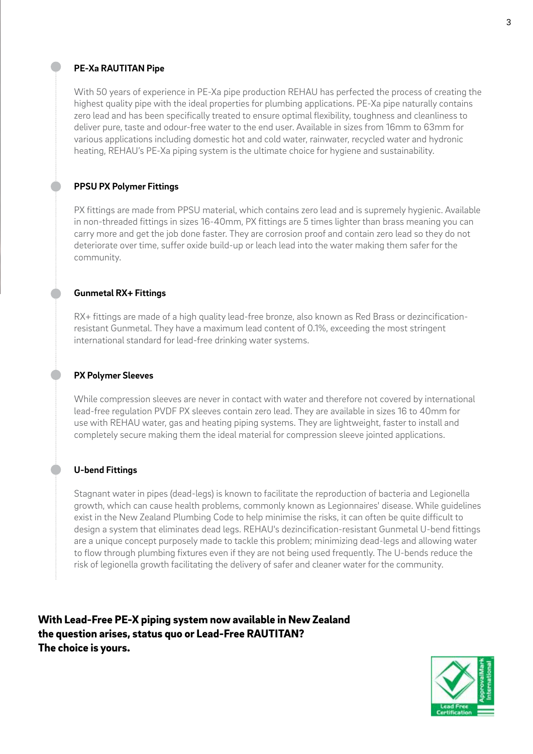### **PE-Xa RAUTITAN Pipe**

With 50 years of experience in PE-Xa pipe production REHAU has perfected the process of creating the highest quality pipe with the ideal properties for plumbing applications. PE-Xa pipe naturally contains zero lead and has been specifically treated to ensure optimal flexibility, toughness and cleanliness to deliver pure, taste and odour-free water to the end user. Available in sizes from 16mm to 63mm for various applications including domestic hot and cold water, rainwater, recycled water and hydronic heating, REHAU's PE-Xa piping system is the ultimate choice for hygiene and sustainability.

# **PPSU PX Polymer Fittings**

PX fittings are made from PPSU material, which contains zero lead and is supremely hygienic. Available in non-threaded fittings in sizes 16-40mm, PX fittings are 5 times lighter than brass meaning you can carry more and get the job done faster. They are corrosion proof and contain zero lead so they do not deteriorate over time, suffer oxide build-up or leach lead into the water making them safer for the community.

# **Gunmetal RX+ Fittings**

RX+ fittings are made of a high quality lead-free bronze, also known as Red Brass or dezincificationresistant Gunmetal. They have a maximum lead content of 0.1%, exceeding the most stringent international standard for lead-free drinking water systems.

### **PX Polymer Sleeves**

While compression sleeves are never in contact with water and therefore not covered by international lead-free regulation PVDF PX sleeves contain zero lead. They are available in sizes 16 to 40mm for use with REHAU water, gas and heating piping systems. They are lightweight, faster to install and completely secure making them the ideal material for compression sleeve jointed applications.

# **U-bend Fittings**

Stagnant water in pipes (dead-legs) is known to facilitate the reproduction of bacteria and Legionella growth, which can cause health problems, commonly known as Legionnaires' disease. While guidelines exist in the New Zealand Plumbing Code to help minimise the risks, it can often be quite difficult to design a system that eliminates dead legs. REHAU's dezincification-resistant Gunmetal U-bend fittings are a unique concept purposely made to tackle this problem; minimizing dead-legs and allowing water to flow through plumbing fixtures even if they are not being used frequently. The U-bends reduce the risk of legionella growth facilitating the delivery of safer and cleaner water for the community.

With Lead-Free PE-X piping system now available in New Zealand the question arises, status quo or Lead-Free RAUTITAN? The choice is yours.

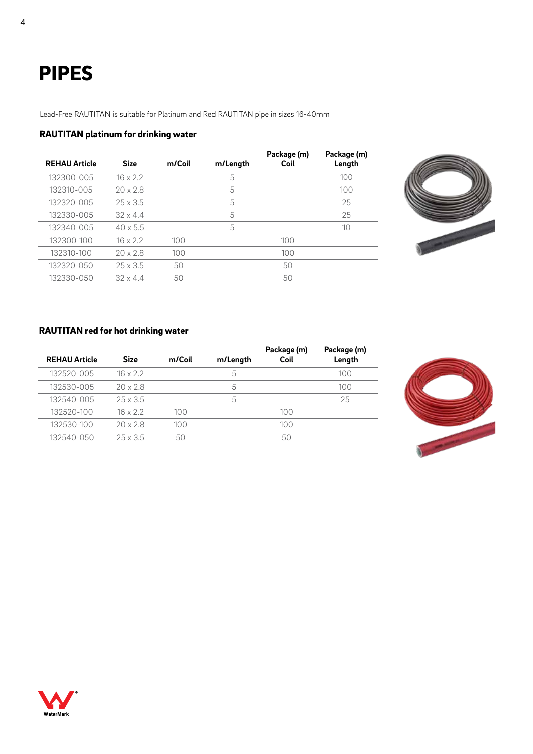# PIPES

Lead-Free RAUTITAN is suitable for Platinum and Red RAUTITAN pipe in sizes 16-40mm

### RAUTITAN platinum for drinking water

| <b>REHAU Article</b> | <b>Size</b>     | m/Coil | m/Length | Package (m)<br>Coil | Package (m)<br>Length |
|----------------------|-----------------|--------|----------|---------------------|-----------------------|
| 132300-005           | $16 \times 2.2$ |        | 5        |                     | 100                   |
| 132310-005           | 20x28           |        | 5        |                     | 100                   |
| 132320-005           | $25 \times 3.5$ |        | 5        |                     | 25                    |
| 132330-005           | $32 \times 44$  |        | 5        |                     | 25                    |
| 132340-005           | $40 \times 5.5$ |        | 5        |                     | 10                    |
| 132300-100           | $16 \times 2.2$ | 100    |          | 100                 |                       |
| 132310-100           | $20 \times 2.8$ | 100    |          | 100                 |                       |
| 132320-050           | $25 \times 3.5$ | 50     |          | 50                  |                       |
| 132330-050           | $32 \times 4.4$ | 50     |          | 50                  |                       |



### RAUTITAN red for hot drinking water

| <b>REHAU Article</b> | <b>Size</b>     | m/Coil | m/Length | Package (m)<br>Coil | Package (m)<br>Length |
|----------------------|-----------------|--------|----------|---------------------|-----------------------|
| 132520-005           | $16 \times 2.2$ |        | 5        |                     | 100                   |
| 132530-005           | $20 \times 2.8$ |        | 5        |                     | 100                   |
| 132540-005           | $25 \times 3.5$ |        | 5        |                     | 25                    |
| 132520-100           | $16 \times 2.2$ | 100    |          | 100                 |                       |
| 132530-100           | 20x28           | 100    |          | 100                 |                       |
| 132540-050           | $25 \times 3.5$ | 50     |          | 50                  |                       |



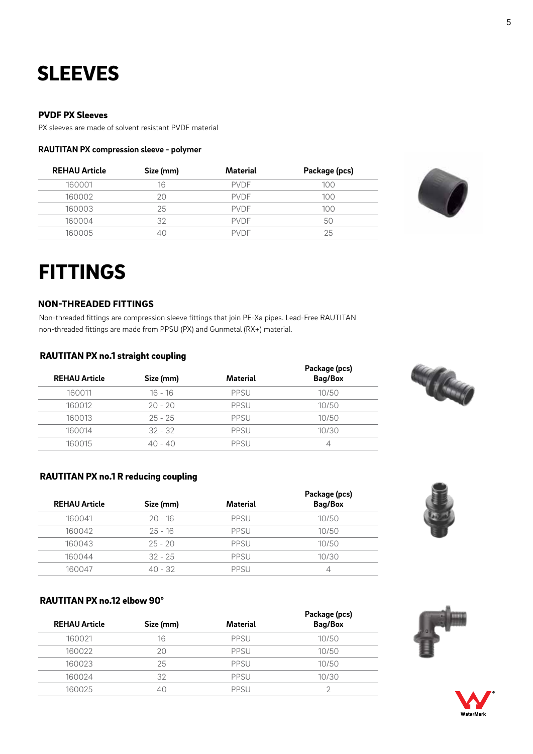# **SLEEVES**

### PVDF PX Sleeves

PX sleeves are made of solvent resistant PVDF material

#### **RAUTITAN PX compression sleeve - polymer**

| <b>REHAU Article</b> | Size (mm) | Material    | Package (pcs) |
|----------------------|-----------|-------------|---------------|
| 160001               | 16        | <b>PVDF</b> | 100           |
| 160002               |           | <b>PVDF</b> | 100           |
| 160003               | 25        | <b>PVDF</b> | 100           |
| 160004               | 32        | <b>PVDF</b> | 50            |
| 160005               |           | <b>PVDF</b> | 25            |



# FITTINGS

#### NON-THREADED FITTINGS

Non-threaded fittings are compression sleeve fittings that join PE-Xa pipes. Lead-Free RAUTITAN non-threaded fittings are made from PPSU (PX) and Gunmetal (RX+) material.

#### RAUTITAN PX no.1 straight coupling

| <b>REHAU Article</b> | Size (mm) | Material | Package (pcs)<br>Bag/Box |
|----------------------|-----------|----------|--------------------------|
| 160011               | $16 - 16$ | PPSU     | 10/50                    |
| 160012               | $20 - 20$ | PPSU     | 10/50                    |
| 160013               | $25 - 25$ | PPSU     | 10/50                    |
| 160014               | $32 - 32$ | PPSU     | 10/30                    |
| 160015               | 40 - 40   | PPSU     |                          |



# RAUTITAN PX no.1 R reducing coupling

| <b>REHAU Article</b> | Size (mm) | Material | Package (pcs)<br>Bag/Box |
|----------------------|-----------|----------|--------------------------|
| 160041               | $20 - 16$ | PPSU     | 10/50                    |
| 160042               | $25 - 16$ | PPSU     | 10/50                    |
| 160043               | $25 - 20$ | PPSU     | 10/50                    |
| 160044               | $32 - 25$ | PPSU     | 10/30                    |
| 160047               | 40 - 32   | PPSU     |                          |

#### RAUTITAN PX no.12 elbow 90°

| <b>REHAU Article</b> | Size (mm) | Material    | Package (pcs)<br>Bag/Box |
|----------------------|-----------|-------------|--------------------------|
| 160021               | 16        | PPSU        | 10/50                    |
| 160022               | 2Ο        | PPSU        | 10/50                    |
| 160023               | 25        | PPSU        | 10/50                    |
| 160024               | 32        | PPSU        | 10/30                    |
| 160025               |           | <b>PPSU</b> |                          |





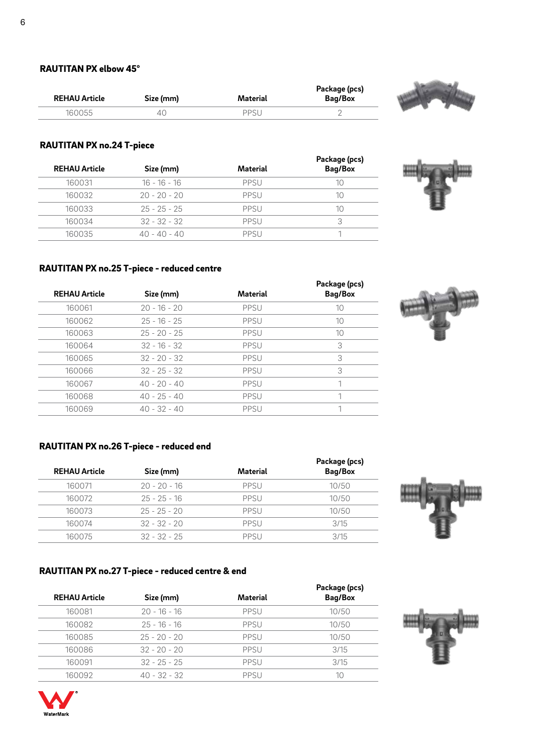| <b>REHAU Article</b> | Size (mm) | Material | Package (pcs)<br>Bag/Box |
|----------------------|-----------|----------|--------------------------|
| 160055               |           | PPSI     |                          |



# RAUTITAN PX no.24 T-piece

| <b>REHAU Article</b> | Size (mm)      | Material | Package (pcs)<br>Bag/Box |
|----------------------|----------------|----------|--------------------------|
| 160031               | $16 - 16 - 16$ | PPSU     | 10                       |
| 160032               | $20 - 20 - 20$ | PPSU     | 10                       |
| 160033               | $25 - 25 - 25$ | PPSU     | 10                       |
| 160034               | $32 - 32 - 32$ | PPSU     | 3                        |
| 160035               | $40 - 40 - 40$ | PPSU     |                          |



# RAUTITAN PX no.25 T-piece - reduced centre

| <b>REHAU Article</b> | Size (mm)      | Material    | Package (pcs)<br>Bag/Box |
|----------------------|----------------|-------------|--------------------------|
| 160061               | $20 - 16 - 20$ | PPSU        | 10                       |
| 160062               | $25 - 16 - 25$ | <b>PPSU</b> | 10                       |
| 160063               | $25 - 20 - 25$ | PPSU        | 10                       |
| 160064               | $32 - 16 - 32$ | <b>PPSU</b> | 3                        |
| 160065               | $32 - 20 - 32$ | PPSU        | 3                        |
| 160066               | $32 - 25 - 32$ | <b>PPSU</b> | 3                        |
| 160067               | $40 - 20 - 40$ | PPSU        | 1                        |
| 160068               | $40 - 25 - 40$ | <b>PPSU</b> |                          |
| 160069               | $40 - 32 - 40$ | PPSU        |                          |
|                      |                |             |                          |

# RAUTITAN PX no.26 T-piece - reduced end

| <b>REHAU Article</b> | Size (mm)      | Material | Package (pcs)<br>Bag/Box |
|----------------------|----------------|----------|--------------------------|
| 160071               | $20 - 20 - 16$ | PPSU     | 10/50                    |
| 160072               | $25 - 25 - 16$ | PPSU     | 10/50                    |
| 160073               | $25 - 25 - 20$ | PPSU     | 10/50                    |
| 160074               | $32 - 32 - 20$ | PPSU     | 3/15                     |
| 160075               | $32 - 32 - 25$ | PPSU     | 3/15                     |



# RAUTITAN PX no.27 T-piece - reduced centre & end

| <b>REHAU Article</b> | Size (mm)      | Material | Package (pcs)<br>Bag/Box |
|----------------------|----------------|----------|--------------------------|
| 160081               | $20 - 16 - 16$ | PPSU     | 10/50                    |
| 160082               | $25 - 16 - 16$ | PPSU     | 10/50                    |
| 160085               | $25 - 20 - 20$ | PPSU     | 10/50                    |
| 160086               | $32 - 20 - 20$ | PPSU     | 3/15                     |
| 160091               | $32 - 25 - 25$ | PPSU     | 3/15                     |
| 160092               | $40 - 32 - 32$ | PPSU     | 10                       |



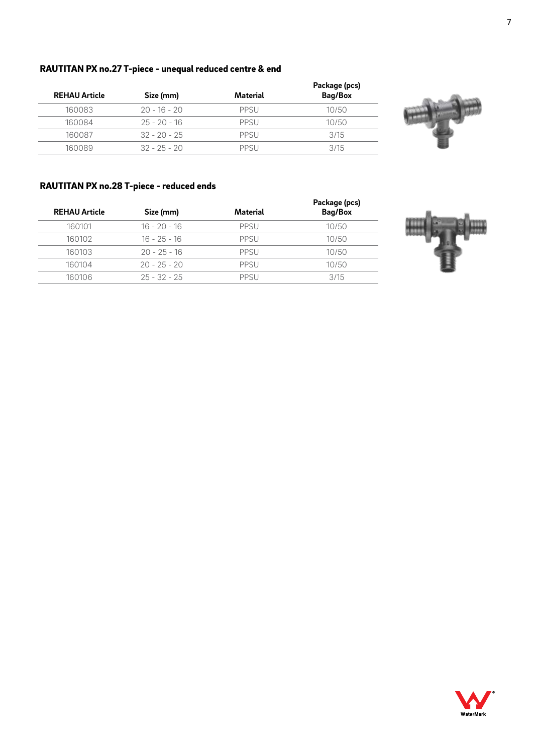# RAUTITAN PX no.27 T-piece - unequal reduced centre & end

|                |          | Package (pcs) |
|----------------|----------|---------------|
| Size (mm)      | Material | Bag/Box       |
| $20 - 16 - 20$ | PPSU     | 10/50         |
| $25 - 20 - 16$ | PPSU     | 10/50         |
| $32 - 20 - 25$ | PPSU     | 3/15          |
| $32 - 25 - 20$ | PPSU     | 3/15          |
|                |          |               |



# RAUTITAN PX no.28 T-piece - reduced ends

| <b>REHAU Article</b> | Size (mm)      | Material | Package (pcs)<br>Bag/Box |
|----------------------|----------------|----------|--------------------------|
| 160101               | $16 - 20 - 16$ | PPSU     | 10/50                    |
| 160102               | $16 - 25 - 16$ | PPSU     | 10/50                    |
| 160103               | $20 - 25 - 16$ | PPSU     | 10/50                    |
| 160104               | $20 - 25 - 20$ | PPSU     | 10/50                    |
| 160106               | $25 - 32 - 25$ | PPSU     | 3/15                     |
|                      |                |          |                          |



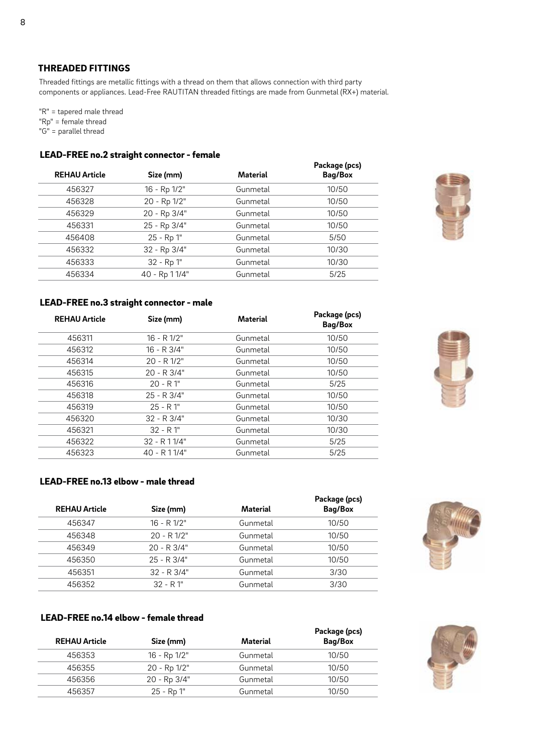# THREADED FITTINGS

Threaded fittings are metallic fittings with a thread on them that allows connection with third party components or appliances. Lead-Free RAUTITAN threaded fittings are made from Gunmetal (RX+) material.

"R" = tapered male thread "Rp" = female thread "G" = parallel thread

#### LEAD-FREE no.2 straight connector - female

|                      |               |          | Package (pcs) |
|----------------------|---------------|----------|---------------|
| <b>REHAU Article</b> | Size (mm)     | Material | Bag/Box       |
| 456327               | 16 - Rp 1/2"  | Gunmetal | 10/50         |
| 456328               | 20 - Rp 1/2"  | Gunmetal | 10/50         |
| 456329               | 20 - Rp 3/4"  | Gunmetal | 10/50         |
| 456331               | 25 - Rp 3/4"  | Gunmetal | 10/50         |
| 456408               | 25 - Rp 1"    | Gunmetal | 5/50          |
| 456332               | 32 - Rp 3/4"  | Gunmetal | 10/30         |
| 456333               | 32 - Rp 1"    | Gunmetal | 10/30         |
| 456334               | 40 - Rp 11/4" | Gunmetal | 5/25          |
|                      |               |          |               |



### LEAD-FREE no.3 straight connector - male

| <b>REHAU Article</b> | Size (mm)       | Material | Package (pcs)<br>Bag/Box |
|----------------------|-----------------|----------|--------------------------|
| 456311               | $16 - R 1/2"$   | Gunmetal | 10/50                    |
| 456312               | 16 - R 3/4"     | Gunmetal | 10/50                    |
| 456314               | $20 - R 1/2"$   | Gunmetal | 10/50                    |
| 456315               | $20 - R$ 3/4"   | Gunmetal | 10/50                    |
| 456316               | $20 - R1$ "     | Gunmetal | 5/25                     |
| 456318               | $25 - R$ 3/4"   | Gunmetal | 10/50                    |
| 456319               | $25 - R1$ "     | Gunmetal | 10/50                    |
| 456320               | $32 - R$ $3/4"$ | Gunmetal | 10/30                    |
| 456321               | $32 - R1$ "     | Gunmetal | 10/30                    |
| 456322               | $32 - R$ 11/4"  | Gunmetal | 5/25                     |
| 456323               | 40 - R 1 1/4"   | Gunmetal | 5/25                     |
|                      |                 |          |                          |

![](_page_7_Picture_8.jpeg)

# LEAD-FREE no.13 elbow - male thread

| <b>REHAU Article</b> | Size (mm)       | Material | Package (pcs)<br>Bag/Box |
|----------------------|-----------------|----------|--------------------------|
| 456347               | $16 - R 1/2"$   | Gunmetal | 10/50                    |
| 456348               | $20 - R 1/2"$   | Gunmetal | 10/50                    |
| 456349               | $20 - R$ 3/4"   | Gunmetal | 10/50                    |
| 456350               | $25 - R$ 3/4"   | Gunmetal | 10/50                    |
| 456351               | $32 - R$ $3/4"$ | Gunmetal | 3/30                     |
| 456352               | $32 - R1$ "     | Gunmetal | 3/30                     |

![](_page_7_Picture_11.jpeg)

# LEAD-FREE no.14 elbow - female thread

| <b>REHAU Article</b> | Size (mm)    | Material | Package (pcs)<br>Bag/Box |
|----------------------|--------------|----------|--------------------------|
| 456353               | 16 - Rp 1/2" | Gunmetal | 10/50                    |
| 456355               | 20 - Rp 1/2" | Gunmetal | 10/50                    |
| 456356               | 20 - Rp 3/4" | Gunmetal | 10/50                    |
| 456357               | 25 - Rp 1"   | Gunmetal | 10/50                    |

![](_page_7_Picture_14.jpeg)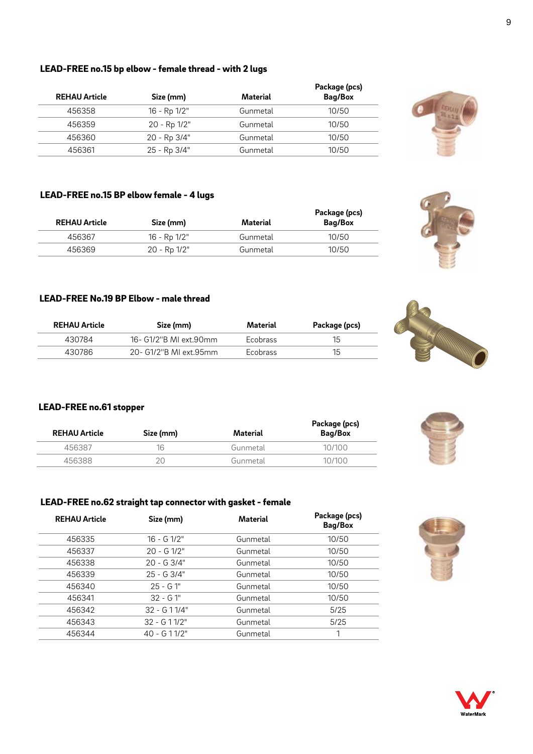## LEAD-FREE no.15 bp elbow - female thread - with 2 lugs

| <b>REHAU Article</b> | Size (mm)    | Material | Package (pcs)<br>Bag/Box |
|----------------------|--------------|----------|--------------------------|
| 456358               | 16 - Rp 1/2" | Gunmetal | 10/50                    |
| 456359               | 20 - Rp 1/2" | Gunmetal | 10/50                    |
| 456360               | 20 - Rp 3/4" | Gunmetal | 10/50                    |
| 456361               | 25 - Rp 3/4" | Gunmetal | 10/50                    |

#### LEAD-FREE no.15 BP elbow female - 4 lugs

| <b>REHAU Article</b> | Size (mm)    | Material | Package (pcs)<br>Bag/Box |
|----------------------|--------------|----------|--------------------------|
| 456367               | 16 - Rp 1/2" | Gunmetal | 10/50                    |
| 456369               | 20 - Rp 1/2" | Gunmetal | 10/50                    |

### LEAD-FREE No.19 BP Elbow - male thread

| <b>REHAU Article</b> | Size (mm)              | Material        | Package (pcs) |
|----------------------|------------------------|-----------------|---------------|
| 430784               | 16- G1/2"B MI ext.90mm | <b>Ecobrass</b> | 15            |
| 430786               | 20- G1/2"B MI ext.95mm | <b>Ecobrass</b> | 15            |

# LEAD-FREE no.61 stopper

| <b>REHAU Article</b> | Size (mm) | Material | Package (pcs)<br>Bag/Box |
|----------------------|-----------|----------|--------------------------|
| 456387               | 16        | Gunmetal | 10/100                   |
| 456388               |           | Gunmetal | 10/100                   |

# LEAD-FREE no.62 straight tap connector with gasket - female

| Size (mm)       | <b>Material</b> | Package (pcs)<br>Bag/Box |
|-----------------|-----------------|--------------------------|
| $16 - G$ $1/2"$ | Gunmetal        | 10/50                    |
| $20 - G$ 1/2"   | Gunmetal        | 10/50                    |
| $20 - G$ 3/4"   | Gunmetal        | 10/50                    |
| $25 - G$ 3/4"   | Gunmetal        | 10/50                    |
| $25 - G1"$      | Gunmetal        | 10/50                    |
| $32 - G1$ "     | Gunmetal        | 10/50                    |
| $32 - G11/4"$   | Gunmetal        | 5/25                     |
| $32 - 611/2$ "  | Gunmetal        | 5/25                     |
| $40 - 611/2"$   | Gunmetal        |                          |
|                 |                 |                          |

![](_page_8_Picture_10.jpeg)

![](_page_8_Picture_11.jpeg)

![](_page_8_Picture_12.jpeg)

![](_page_8_Picture_13.jpeg)

![](_page_8_Picture_15.jpeg)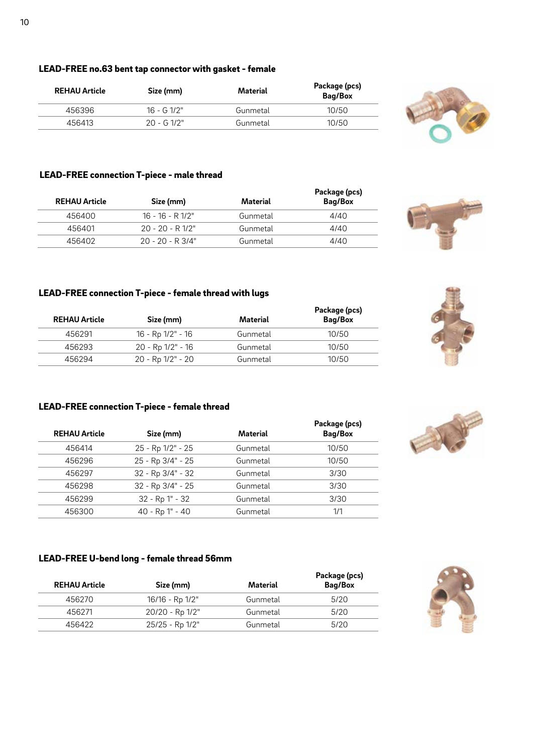# LEAD-FREE no.63 bent tap connector with gasket - female

| <b>REHAU Article</b> | Size (mm)    | Material | Package (pcs)<br>Bag/Box |
|----------------------|--------------|----------|--------------------------|
| 456396               | $16 - G1/2"$ | Gunmetal | 10/50                    |
| 456413               | $20 - 61/2"$ | Gunmetal | 10/50                    |

#### LEAD-FREE connection T-piece - male thread

| <b>REHAU Article</b> | Size (mm)          | Material | Package (pcs)<br>Bag/Box |
|----------------------|--------------------|----------|--------------------------|
| 456400               | $16 - 16 - R 1/2"$ | Gunmetal | 4/40                     |
| 456401               | $20 - 20 - R$ 1/2" | Gunmetal | 4/40                     |
| 456402               | $20 - 20 - R$ 3/4" | Gunmetal | 4/40                     |

#### LEAD-FREE connection T-piece - female thread with lugs

| <b>REHAU Article</b> | Size (mm)         | Material | Package (pcs)<br>Bag/Box |
|----------------------|-------------------|----------|--------------------------|
| 456291               | 16 - Rp 1/2" - 16 | Gunmetal | 10/50                    |
| 456293               | 20 - Rp 1/2" - 16 | Gunmetal | 10/50                    |
| 456294               | 20 - Rp 1/2" - 20 | Gunmetal | 10/50                    |

# LEAD-FREE connection T-piece - female thread

| <b>REHAU Article</b> | Size (mm)         | Material | Package (pcs)<br>Bag/Box |
|----------------------|-------------------|----------|--------------------------|
| 456414               | 25 - Rp 1/2" - 25 | Gunmetal | 10/50                    |
| 456296               | 25 - Rp 3/4" - 25 | Gunmetal | 10/50                    |
| 456297               | 32 - Rp 3/4" - 32 | Gunmetal | 3/30                     |
| 456298               | 32 - Rp 3/4" - 25 | Gunmetal | 3/30                     |
| 456299               | 32 - Rp 1" - 32   | Gunmetal | 3/30                     |
| 456300               | 40 - Rp 1" - 40   | Gunmetal | 1/1                      |

# LEAD-FREE U-bend long - female thread 56mm

| <b>REHAU Article</b> | Size (mm)       | Material | Package (pcs)<br>Bag/Box |
|----------------------|-----------------|----------|--------------------------|
| 456270               | 16/16 - Rp 1/2" | Gunmetal | 5/20                     |
| 456271               | 20/20 - Rp 1/2" | Gunmetal | 5/20                     |
| 456422               | 25/25 - Rp 1/2" | Gunmetal | 5/20                     |

![](_page_9_Picture_10.jpeg)

![](_page_9_Picture_11.jpeg)

![](_page_9_Picture_12.jpeg)

![](_page_9_Picture_13.jpeg)

![](_page_9_Picture_15.jpeg)